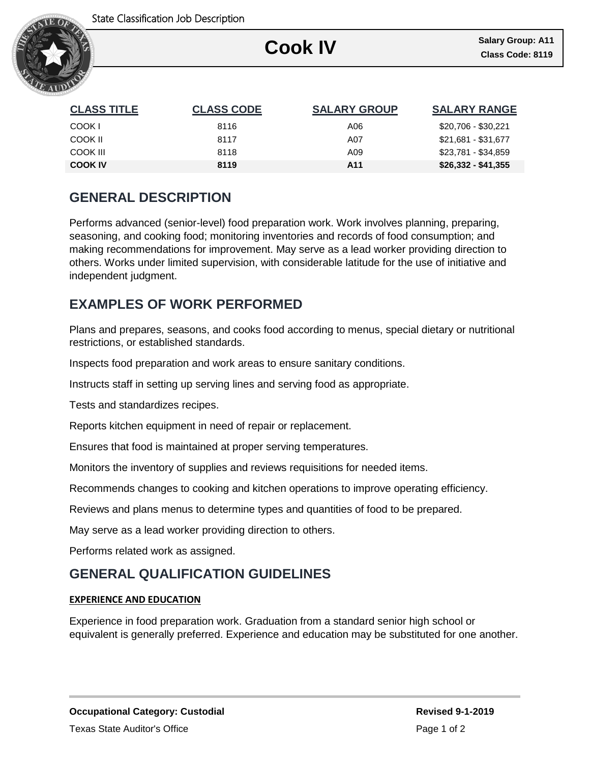

# **Cook IV Class Code: 8119**

Ι

| <b>CLASS TITLE</b> | <b>CLASS CODE</b> | <b>SALARY GROUP</b> | <b>SALARY RANGE</b> |
|--------------------|-------------------|---------------------|---------------------|
| COOK I             | 8116              | A06                 | \$20,706 - \$30,221 |
| COOK II            | 8117              | A07                 | \$21.681 - \$31.677 |
| COOK III           | 8118              | A09                 | \$23,781 - \$34,859 |
| <b>COOK IV</b>     | 8119              | A11                 | $$26,332 - $41,355$ |

# **GENERAL DESCRIPTION**

Performs advanced (senior-level) food preparation work. Work involves planning, preparing, seasoning, and cooking food; monitoring inventories and records of food consumption; and making recommendations for improvement. May serve as a lead worker providing direction to others. Works under limited supervision, with considerable latitude for the use of initiative and independent judgment.

## **EXAMPLES OF WORK PERFORMED**

Plans and prepares, seasons, and cooks food according to menus, special dietary or nutritional restrictions, or established standards.

Inspects food preparation and work areas to ensure sanitary conditions.

Instructs staff in setting up serving lines and serving food as appropriate.

Tests and standardizes recipes.

Reports kitchen equipment in need of repair or replacement.

Ensures that food is maintained at proper serving temperatures.

Monitors the inventory of supplies and reviews requisitions for needed items.

Recommends changes to cooking and kitchen operations to improve operating efficiency.

Reviews and plans menus to determine types and quantities of food to be prepared.

May serve as a lead worker providing direction to others.

Performs related work as assigned.

### **GENERAL QUALIFICATION GUIDELINES**

#### **EXPERIENCE AND EDUCATION**

Experience in food preparation work. Graduation from a standard senior high school or equivalent is generally preferred. Experience and education may be substituted for one another.